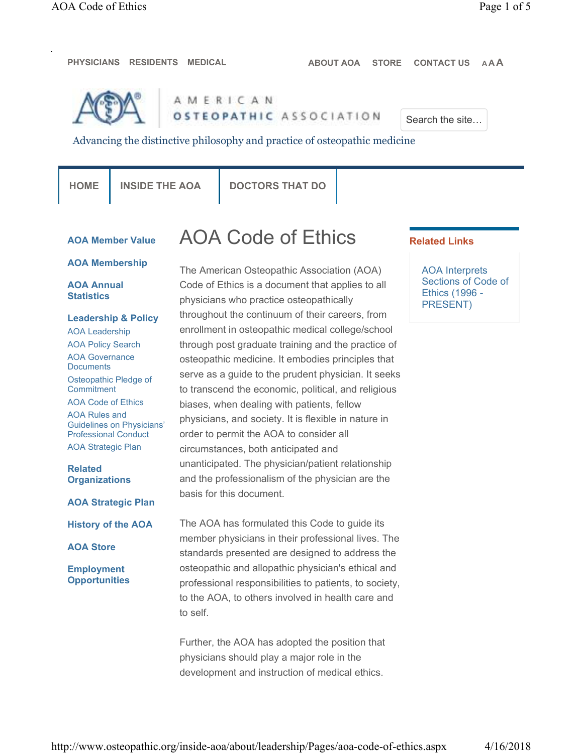**PHYSICIANS RESIDENTS MEDICAL ABOUT AOA STORE CONTACT US A A A**



AMERICAN OSTEOPATHIC ASSOCIATION

Search the site…

Advancing the distinctive philosophy and practice of osteopathic medicine

| M.<br>٠ |  |
|---------|--|

**INSIDE THE AOA | DOCTORS THAT DO** 

# **AOA Member Value**

# **AOA Membership**

# **AOA Annual Statistics**

**Leadership & Policy** AOA Leadership AOA Policy Search AOA Governance **Documents** Osteopathic Pledge of **Commitment** AOA Code of Ethics AOA Rules and Guidelines on Physicians' Professional Conduct AOA Strategic Plan **Related** 

**Organizations**

**AOA Strategic Plan**

**History of the AOA**

**AOA Store**

**Employment Opportunities** AOA Code of Ethics

The American Osteopathic Association (AOA) Code of Ethics is a document that applies to all physicians who practice osteopathically throughout the continuum of their careers, from enrollment in osteopathic medical college/school through post graduate training and the practice of osteopathic medicine. It embodies principles that serve as a guide to the prudent physician. It seeks to transcend the economic, political, and religious biases, when dealing with patients, fellow physicians, and society. It is flexible in nature in order to permit the AOA to consider all circumstances, both anticipated and unanticipated. The physician/patient relationship and the professionalism of the physician are the basis for this document.

The AOA has formulated this Code to guide its member physicians in their professional lives. The standards presented are designed to address the osteopathic and allopathic physician's ethical and professional responsibilities to patients, to society, to the AOA, to others involved in health care and to self.

Further, the AOA has adopted the position that physicians should play a major role in the development and instruction of medical ethics.

# **Related Links**

AOA Interprets Sections of Code of Ethics (1996 - PRESENT)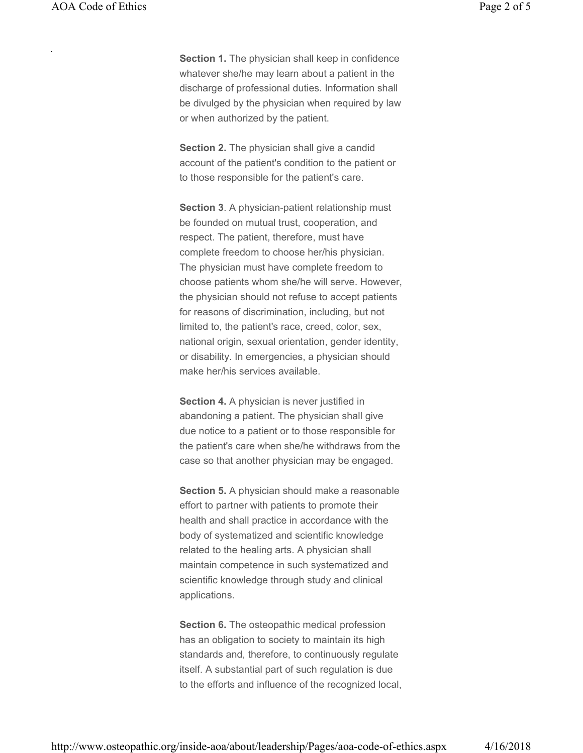**Section 1.** The physician shall keep in confidence whatever she/he may learn about a patient in the discharge of professional duties. Information shall be divulged by the physician when required by law or when authorized by the patient.

**Section 2.** The physician shall give a candid account of the patient's condition to the patient or to those responsible for the patient's care.

**Section 3**. A physician-patient relationship must be founded on mutual trust, cooperation, and respect. The patient, therefore, must have complete freedom to choose her/his physician. The physician must have complete freedom to choose patients whom she/he will serve. However, the physician should not refuse to accept patients for reasons of discrimination, including, but not limited to, the patient's race, creed, color, sex, national origin, sexual orientation, gender identity, or disability. In emergencies, a physician should make her/his services available.

**Section 4.** A physician is never justified in abandoning a patient. The physician shall give due notice to a patient or to those responsible for the patient's care when she/he withdraws from the case so that another physician may be engaged.

**Section 5.** A physician should make a reasonable effort to partner with patients to promote their health and shall practice in accordance with the body of systematized and scientific knowledge related to the healing arts. A physician shall maintain competence in such systematized and scientific knowledge through study and clinical applications.

**Section 6.** The osteopathic medical profession has an obligation to society to maintain its high standards and, therefore, to continuously regulate itself. A substantial part of such regulation is due to the efforts and influence of the recognized local,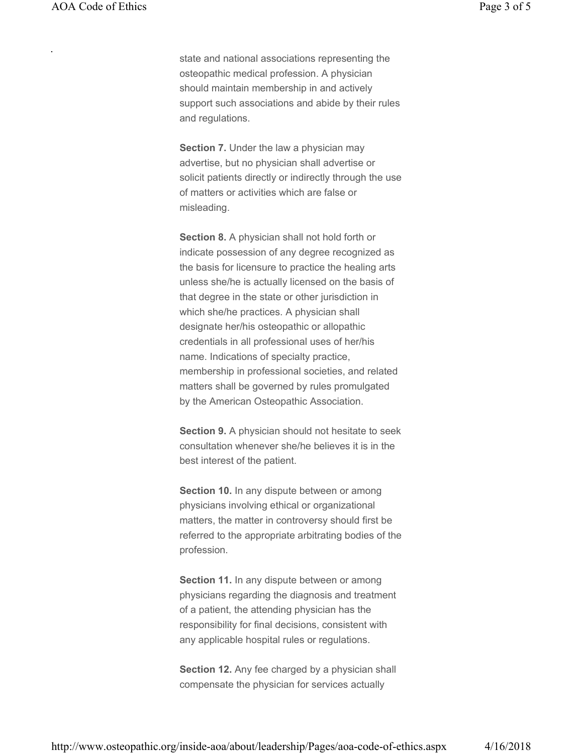state and national associations representing the osteopathic medical profession. A physician should maintain membership in and actively support such associations and abide by their rules and regulations.

**Section 7.** Under the law a physician may advertise, but no physician shall advertise or solicit patients directly or indirectly through the use of matters or activities which are false or misleading.

**Section 8.** A physician shall not hold forth or indicate possession of any degree recognized as the basis for licensure to practice the healing arts unless she/he is actually licensed on the basis of that degree in the state or other jurisdiction in which she/he practices. A physician shall designate her/his osteopathic or allopathic credentials in all professional uses of her/his name. Indications of specialty practice, membership in professional societies, and related matters shall be governed by rules promulgated by the American Osteopathic Association.

**Section 9.** A physician should not hesitate to seek consultation whenever she/he believes it is in the best interest of the patient.

**Section 10.** In any dispute between or among physicians involving ethical or organizational matters, the matter in controversy should first be referred to the appropriate arbitrating bodies of the profession.

**Section 11.** In any dispute between or among physicians regarding the diagnosis and treatment of a patient, the attending physician has the responsibility for final decisions, consistent with any applicable hospital rules or regulations.

**Section 12.** Any fee charged by a physician shall compensate the physician for services actually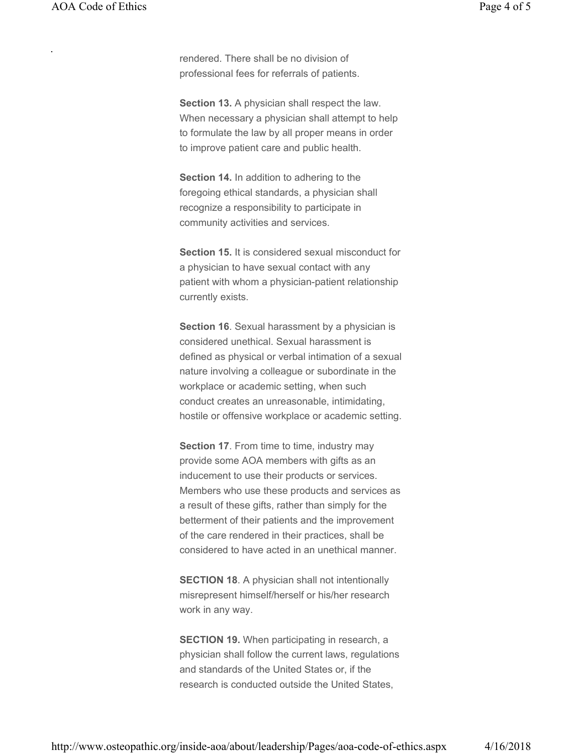rendered. There shall be no division of professional fees for referrals of patients.

**Section 13.** A physician shall respect the law. When necessary a physician shall attempt to help to formulate the law by all proper means in order to improve patient care and public health.

**Section 14.** In addition to adhering to the foregoing ethical standards, a physician shall recognize a responsibility to participate in community activities and services.

**Section 15.** It is considered sexual misconduct for a physician to have sexual contact with any patient with whom a physician-patient relationship currently exists.

**Section 16**. Sexual harassment by a physician is considered unethical. Sexual harassment is defined as physical or verbal intimation of a sexual nature involving a colleague or subordinate in the workplace or academic setting, when such conduct creates an unreasonable, intimidating, hostile or offensive workplace or academic setting.

**Section 17**. From time to time, industry may provide some AOA members with gifts as an inducement to use their products or services. Members who use these products and services as a result of these gifts, rather than simply for the betterment of their patients and the improvement of the care rendered in their practices, shall be considered to have acted in an unethical manner.

**SECTION 18**. A physician shall not intentionally misrepresent himself/herself or his/her research work in any way.

**SECTION 19.** When participating in research, a physician shall follow the current laws, regulations and standards of the United States or, if the research is conducted outside the United States,